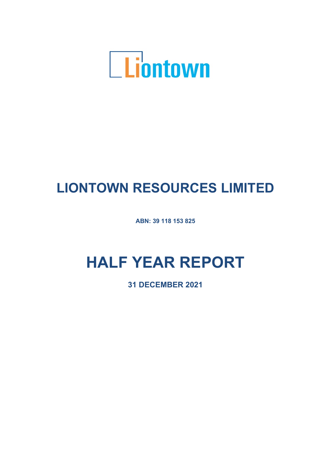

# **LIONTOWN RESOURCES LIMITED**

**ABN: 39 118 153 825**

# **HALF YEAR REPORT**

**31 DECEMBER 2021**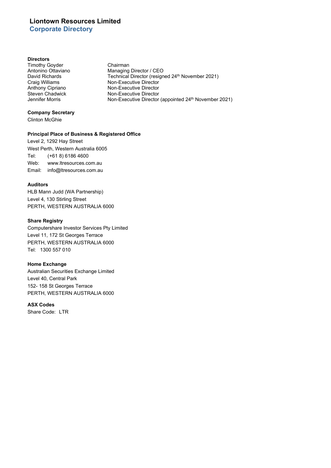# **Liontown Resources Limited Corporate Directory**

#### **Directors**

Timothy Goyder **Chairman**<br>
Antonino Ottaviano **Chairman**<br>
Managing

Antonino Ottaviano Managing Director / CEO<br>
David Richards Technical Director (resign David Richards Technical Director (resigned 24<sup>th</sup> November 2021)<br>Craig Williams **Technical Director** Director Craig Williams **Non-Executive Director**<br>
Anthony Cipriano **Non-Executive Director** Anthony Cipriano<br>
Steven Chadwick<br>
Non-Executive Director Steven Chadwick Non-Executive Director<br>
Jennifer Morris Non-Executive Director Non-Executive Director (appointed 24<sup>th</sup> November 2021)

## **Company Secretary**

Clinton McGhie

## **Principal Place of Business & Registered Office**

Level 2, 1292 Hay Street West Perth, Western Australia 6005 Tel: (+61 8) 6186 4600 Web: www.ltresources.com.au Email: info@ltresources.com.au

### **Auditors**

HLB Mann Judd (WA Partnership) Level 4, 130 Stirling Street PERTH, WESTERN AUSTRALIA 6000

#### **Share Registry**

Computershare Investor Services Pty Limited Level 11, 172 St Georges Terrace PERTH, WESTERN AUSTRALIA 6000 Tel: 1300 557 010

### **Home Exchange**

Australian Securities Exchange Limited Level 40, Central Park 152- 158 St Georges Terrace PERTH, WESTERN AUSTRALIA 6000

## **ASX Codes**

Share Code: LTR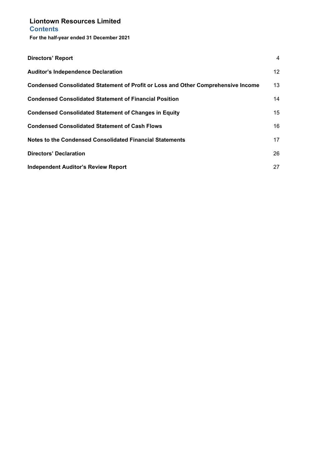**For the half-year ended 31 December 2021**

| Directors' Report                                                                        | 4                |
|------------------------------------------------------------------------------------------|------------------|
| <b>Auditor's Independence Declaration</b>                                                | 12 <sup>12</sup> |
| <b>Condensed Consolidated Statement of Profit or Loss and Other Comprehensive Income</b> | 13               |
| <b>Condensed Consolidated Statement of Financial Position</b>                            | 14               |
| <b>Condensed Consolidated Statement of Changes in Equity</b>                             | 15               |
| <b>Condensed Consolidated Statement of Cash Flows</b>                                    | 16               |
| Notes to the Condensed Consolidated Financial Statements                                 | 17               |
| Directors' Declaration                                                                   | 26               |
| <b>Independent Auditor's Review Report</b>                                               | 27               |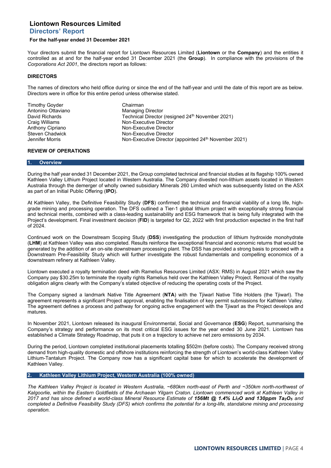# <span id="page-3-0"></span>**Directors' Report**

#### **For the half-year ended 31 December 2021**

Your directors submit the financial report for Liontown Resources Limited (**Liontown** or the **Company**) and the entities it controlled as at and for the half-year ended 31 December 2021 (the **Group**). In compliance with the provisions of the *Corporations Act 2001*, the directors report as follows:

#### **DIRECTORS**

The names of directors who held office during or since the end of the half-year and until the date of this report are as below. Directors were in office for this entire period unless otherwise stated.

Timothy Goyder Chairman Antonino Ottaviano

David Richards Technical Director (resigned 24th November 2021) Craig Williams **Non-Executive Director**<br>
Anthony Cipriano **Non-Executive Director** Anthony Cipriano<br>
Steven Chadwick<br>
Non-Executive Director Steven Chadwick<br>
Steven Chadwick Non-Executive Director<br>
Non-Executive Director Non-Executive Director (appointed 24<sup>th</sup> November 2021)

#### **REVIEW OF OPERATIONS**

#### **1. Overview**

During the half year ended 31 December 2021, the Group completed technical and financial studies at its flagship 100% owned Kathleen Valley Lithium Project located in Western Australia. The Company divested non-lithium assets located in Western Australia through the demerger of wholly owned subsidiary Minerals 260 Limited which was subsequently listed on the ASX as part of an Initial Public Offering (**IPO**).

At Kathleen Valley, the Definitive Feasibility Study (**DFS**) confirmed the technical and financial viability of a long life, highgrade mining and processing operation. The DFS outlined a Tier-1 global lithium project with exceptionally strong financial and technical merits, combined with a class-leading sustainability and ESG framework that is being fully integrated with the Project's development. Final investment decision (**FID**) is targeted for Q2, 2022 with first production expected in the first half of 2024.

Continued work on the Downstream Scoping Study (**DSS**) investigating the production of lithium hydroxide monohydrate (**LHM**) at Kathleen Valley was also completed. Results reinforce the exceptional financial and economic returns that would be generated by the addition of an on-site downstream processing plant. The DSS has provided a strong basis to proceed with a Downstream Pre-Feasibility Study which will further investigate the robust fundamentals and compelling economics of a downstream refinery at Kathleen Valley.

Liontown executed a royalty termination deed with Ramelius Resources Limited (ASX: RMS) in August 2021 which saw the Company pay \$30.25m to terminate the royalty rights Ramelius held over the Kathleen Valley Project. Removal of the royalty obligation aligns clearly with the Company's stated objective of reducing the operating costs of the Project.

The Company signed a landmark Native Title Agreement (**NTA**) with the Tjiwarl Native Title Holders (the Tjiwarl). The agreement represents a significant Project approval, enabling the finalisation of key permit submissions for Kathleen Valley. The agreement defines a process and pathway for ongoing active engagement with the Tjiwarl as the Project develops and matures.

In November 2021, Liontown released its inaugural Environmental, Social and Governance (**ESG**) Report, summarising the Company's strategy and performance on its most critical ESG issues for the year ended 30 June 2021. Liontown has established a Climate Strategy Roadmap, that puts it on a trajectory to achieve net zero emissions by 2034.

During the period, Liontown completed institutional placements totalling \$502m (before costs). The Company received strong demand from high-quality domestic and offshore institutions reinforcing the strength of Liontown's world-class Kathleen Valley Lithium-Tantalum Project. The Company now has a significant capital base for which to accelerate the development of Kathleen Valley.

#### **2. Kathleen Valley Lithium Project, Western Australia (100% owned)**

*The Kathleen Valley Project is located in Western Australia, ~680km north-east of Perth and ~350km north-northwest of Kalgoorlie, within the Eastern Goldfields of the Archaean Yilgarn Craton. Liontown commenced work at Kathleen Valley in 2017 and has since defined a world-class Mineral Resource Estimate of 156Mt @ 1.4% Li2O and 130ppm Ta2O5 and completed a Definitive Feasibility Study (DFS) which confirms the potential for a long-life, standalone mining and processing operation.*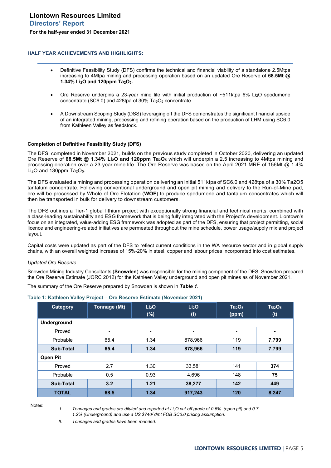#### **HALF YEAR ACHIEVEMENTS AND HIGHLIGHTS:**

- Definitive Feasibility Study (DFS) confirms the technical and financial viability of a standalone 2.5Mtpa increasing to 4Mtpa mining and processing operation based on an updated Ore Reserve of **68.5Mt @ 1.34% Li2O and 120ppm Ta2O5.**
- Ore Reserve underpins a 23-year mine life with initial production of  $\sim$ 511ktpa 6% Li<sub>2</sub>O spodumene concentrate (SC6.0) and 428tpa of 30% Ta<sub>5</sub>O<sub>5</sub> concentrate.
- A Downstream Scoping Study (DSS) leveraging off the DFS demonstrates the significant financial upside of an integrated mining, processing and refining operation based on the production of LHM using SC6.0 from Kathleen Valley as feedstock.

#### **Completion of Definitive Feasibility Study (DFS)**

The DFS, completed in November 2021, builds on the previous study completed in October 2020, delivering an updated Ore Reserve of **68.5Mt @ 1.34% Li2O and 120ppm Ta2O5** which will underpin a 2.5 increasing to 4Mtpa mining and processing operation over a 23-year mine life. The Ore Reserve was based on the April 2021 MRE of 156Mt @ 1.4% Li<sub>2</sub>O and 130ppm Ta<sub>2</sub>O<sub>5</sub>.

The DFS evaluated a mining and processing operation delivering an initial 511ktpa of SC6.0 and 428tpa of a 30% Ta2O5 tantalum concentrate. Following conventional underground and open pit mining and delivery to the Run-of-Mine pad, ore will be processed by Whole of Ore Flotation (**WOF**) to produce spodumene and tantalum concentrates which will then be transported in bulk for delivery to downstream customers.

The DFS outlines a Tier-1 global lithium project with exceptionally strong financial and technical merits, combined with a class-leading sustainability and ESG framework that is being fully integrated with the Project's development. Liontown's focus on an integrated, value-adding ESG framework was adopted as part of the DFS, ensuring that project permitting, social licence and engineering-related initiatives are permeated throughout the mine schedule, power usage/supply mix and project layout.

Capital costs were updated as part of the DFS to reflect current conditions in the WA resource sector and in global supply chains, with an overall weighted increase of 15%-20% in steel, copper and labour prices incorporated into cost estimates.

#### *Updated Ore Reserve*

Snowden Mining Industry Consultants (**Snowden**) was responsible for the mining component of the DFS. Snowden prepared the Ore Reserve Estimate (JORC 2012) for the Kathleen Valley underground and open pit mines as of November 2021.

The summary of the Ore Reserve prepared by Snowden is shown in *Table 1*.

| Category           | Tonnage (Mt) | Li <sub>2</sub> O<br>$(\%)$ | Li <sub>2</sub> O<br>(t) | Ta <sub>2</sub> O <sub>5</sub><br>(ppm) | Ta <sub>2</sub> O <sub>5</sub><br>(t) |
|--------------------|--------------|-----------------------------|--------------------------|-----------------------------------------|---------------------------------------|
| <b>Underground</b> |              |                             |                          |                                         |                                       |
| Proved             |              | $\overline{\phantom{a}}$    | $\overline{\phantom{0}}$ | $\overline{\phantom{a}}$                | ۰                                     |
| Probable           | 65.4         | 1.34                        | 878,966                  | 119                                     | 7,799                                 |
| <b>Sub-Total</b>   | 65.4         | 1.34                        | 878,966                  | 119                                     | 7,799                                 |
| <b>Open Pit</b>    |              |                             |                          |                                         |                                       |
| Proved             | 2.7          | 1.30                        | 33,581                   | 141                                     | 374                                   |
| Probable           | 0.5          | 0.93                        | 4,696                    | 148                                     | 75                                    |
| Sub-Total          | 3.2          | 1.21                        | 38,277                   | 142                                     | 449                                   |
| <b>TOTAL</b>       | 68.5         | 1.34                        | 917,243                  | 120                                     | 8,247                                 |

#### **Table 1: Kathleen Valley Project – Ore Reserve Estimate (November 2021)**

Notes:

*I. Tonnages and grades are diluted and reported at Li<sub>2</sub>O cut-off grade of 0.5% (open pit) and 0.7 -1.2% (Underground) and use a US \$740/ dmt FOB SC6.0 pricing assumption.* 

*II. Tonnages and grades have been rounded.*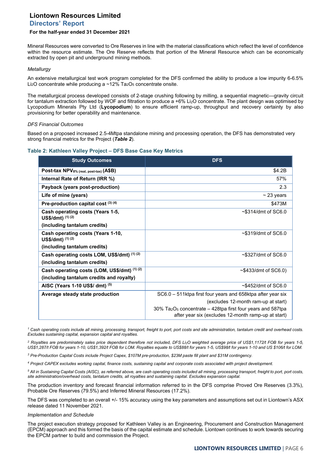# **Liontown Resources Limited Directors' Report**

## **For the half-year ended 31 December 2021**

Mineral Resources were converted to Ore Reserves in line with the material classifications which reflect the level of confidence within the resource estimate. The Ore Reserve reflects that portion of the Mineral Resource which can be economically extracted by open pit and underground mining methods.

#### *Metallurgy*

An extensive metallurgical test work program completed for the DFS confirmed the ability to produce a low impurity 6-6.5% Li<sub>2</sub>O concentrate while producing a  $\sim$ 12% Ta<sub>2</sub>O<sub>5</sub> concentrate onsite.

The metallurgical process developed consists of 2-stage crushing following by milling, a sequential magnetic—gravity circuit for tantalum extraction followed by WOF and filtration to produce a +6% Li2O concentrate. The plant design was optimised by Lycopodium Minerals Pty Ltd (**Lycopodium**) to ensure efficient ramp-up, throughput and recovery certainty by also provisioning for better operability and maintenance.

#### *DFS Financial Outcomes*

Based on a proposed increased 2.5-4Mtpa standalone mining and processing operation, the DFS has demonstrated very strong financial metrics for the Project (*Table 2*).

#### **Table 2: Kathleen Valley Project – DFS Base Case Key Metrics**

| <b>Study Outcomes</b>                                  | <b>DFS</b>                                                                                                                                    |
|--------------------------------------------------------|-----------------------------------------------------------------------------------------------------------------------------------------------|
| Post-tax NPV <sub>8%</sub> (real, post-tax) (A\$B)     | \$4.2B                                                                                                                                        |
| Internal Rate of Return (IRR %)                        | 57%                                                                                                                                           |
| Payback (years post-production)                        | 2.3                                                                                                                                           |
| Life of mine (years)                                   | $\sim$ 23 years                                                                                                                               |
| Pre-production capital cost $(3)$ $(4)$                | \$473M                                                                                                                                        |
| Cash operating costs (Years 1-5,<br>US\$/dmt) (1) (2)  | $\sim$ \$314/dmt of SC6.0                                                                                                                     |
| (including tantalum credits)                           |                                                                                                                                               |
| Cash operating costs (Years 1-10,<br>US\$/dmt) (1) (2) | $\sim$ \$319/dmt of SC6.0                                                                                                                     |
| (including tantalum credits)                           |                                                                                                                                               |
| Cash operating costs LOM, US\$/dmt) (1) (2)            | $\sim$ \$327/dmt of SC6.0                                                                                                                     |
| (including tantalum credits)                           |                                                                                                                                               |
| Cash operating costs (LOM, US\$/dmt) (1) (2)           | $~5433$ /dmt of SC6.0)                                                                                                                        |
| (including tantalum credits and royalty)               |                                                                                                                                               |
| AISC (Years 1-10 US\$/ dmt) (5)                        | $\sim$ \$452/dmt of SC6.0                                                                                                                     |
| Average steady state production                        | SC6.0 – 511 ktpa first four years and 658 ktpa after year six                                                                                 |
|                                                        | (excludes 12-month ram-up at start)                                                                                                           |
|                                                        | $30\%$ Ta <sub>2</sub> O <sub>5</sub> concentrate – 428tpa first four years and 587tpa<br>after year six (excludes 12-month ramp-up at start) |

*<sup>1</sup> Cash operating costs include all mining, processing, transport, freight to port, port costs and site administration, tantalum credit and overhead costs. Excludes sustaining capital, expansion capital and royalties.* 

*<sup>2</sup> Royalties are predominately sales price dependent therefore not included, DFS Li2O weighted average price of US\$1,1172/t FOB for years 1-5, US\$1,287/t FOB for years 1-10, US\$1,392/t FOB for LOM. Royalties equate to US\$88/t for years 1-5, US\$98/t for years 1-10 and US \$106/t for LOM.* 

*<sup>3</sup> Pre-Production Capital Costs include Project Capex, \$107M pre-production, \$23M paste fill plant and \$31M contingency.* 

*<sup>4</sup> Project CAPEX excludes working capital, finance costs, sustaining capital and corporate costs associated with project development.* 

*<sup>5</sup> All in Sustaining Capital Costs (AISC), as referred above, are cash operating costs included all mining, processing transport, freight to port, port costs, site administration/overhead costs, tantalum credits, all royalties and sustaining capital. Excludes expansion capital.* 

The production inventory and forecast financial information referred to in the DFS comprise Proved Ore Reserves (3.3%), Probable Ore Reserves (79.5%) and Inferred Mineral Resources (17.2%).

The DFS was completed to an overall +/- 15% accuracy using the key parameters and assumptions set out in Liontown's ASX release dated 11 November 2021.

#### *Implementation and Schedule*

The project execution strategy proposed for Kathleen Valley is an Engineering, Procurement and Construction Management (EPCM) approach and this formed the basis of the capital estimate and schedule. Liontown continues to work towards securing the EPCM partner to build and commission the Project.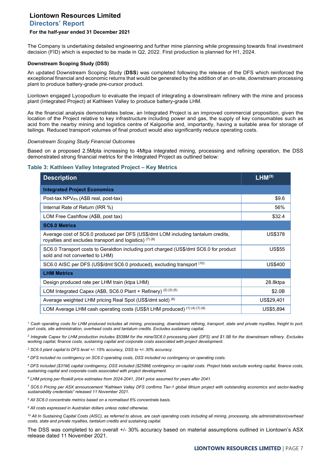# **Liontown Resources Limited Directors' Report**

## **For the half-year ended 31 December 2021**

The Company is undertaking detailed engineering and further mine planning while progressing towards final investment decision (FID) which is expected to be made in Q2, 2022. First production is planned for H1, 2024.

#### **Downstream Scoping Study (DSS)**

An updated Downstream Scoping Study (**DSS**) was completed following the release of the DFS which reinforced the exceptional financial and economic returns that would be generated by the addition of an on-site, downstream processing plant to produce battery-grade pre-cursor product.

Liontown engaged Lycopodium to evaluate the impact of integrating a downstream refinery with the mine and process plant (Integrated Project) at Kathleen Valley to produce battery-grade LHM.

As the financial analysis demonstrates below, an Integrated Project is an improved commercial proposition, given the location of the Project relative to key infrastructure including power and gas, the supply of key consumables such as acid from the nearby mining and logistics centre of Kalgoorlie and, importantly, having a suitable area for storage of tailings. Reduced transport volumes of final product would also significantly reduce operating costs.

#### *Downstream Scoping Study Financial Outcomes*

Based on a proposed 2.5Mpta increasing to 4Mtpa integrated mining, processing and refining operation, the DSS demonstrated strong financial metrics for the Integrated Project as outlined below:

## **Table 3: Kathleen Valley Integrated Project – Key Metrics**

| <b>Description</b>                                                                                                                           | LHM <sup>(9)</sup> |
|----------------------------------------------------------------------------------------------------------------------------------------------|--------------------|
| <b>Integrated Project Economics</b>                                                                                                          |                    |
| Post-tax NPV <sub>8%</sub> (A\$B real, post-tax)                                                                                             | \$9.6              |
| Internal Rate of Return (IRR %)                                                                                                              | 56%                |
| LOM Free Cashflow (A\$B, post tax)                                                                                                           | \$32.4             |
| <b>SC6.0 Metrics</b>                                                                                                                         |                    |
| Average cost of SC6.0 produced per DFS (US\$/dmt LOM including tantalum credits,<br>royalties and excludes transport and logistics) $(7)(8)$ | <b>US\$378</b>     |
| SC6.0 Transport costs to Geraldton including port charged (US\$/dmt SC6.0 for product<br>sold and not converted to LHM)                      | <b>US\$55</b>      |
| SC6.0 AISC per DFS (US\$/dmt SC6.0 produced), excluding transport (10)                                                                       | US\$400            |
| <b>LHM Metrics</b>                                                                                                                           |                    |
| Design produced rate per LHM train (ktpa LHM)                                                                                                | 28.8ktpa           |
| LOM Integrated Capex (A\$B, SC6.0 Plant + Refinery) (2) (3) (5)                                                                              | \$2.0B             |
| Average weighted LHM pricing Real Spot (US\$/dmt sold) (6)                                                                                   | US\$29,401         |
| LOM Average LHM cash operating costs (US\$/t LHM produced) (1) (4) (7) (8)                                                                   | US\$5,894          |

<sup>1</sup> Cash operating costs for LHM produced includes all mining, processing, downstream refining, transport, state and private royalties, freight to port, *port costs, site administration, overhead costs and tantalum credits. Excludes sustaining capital.* 

*<sup>2</sup> Integrate Capex for LHM production includes \$538M for the mine/SC6.0 processing plant (DFS) and \$1.5B for the downstream refinery. Excludes working capital, finance costs, sustaining capital and corporate costs associated with project development.* 

*<sup>3</sup> SC6.0 plant capital to DFS level +/- 15% accuracy, DSS to +/- 30% accuracy.* 

*<sup>4</sup> DFS included no contingency on SC6.0 operating costs, DSS included no contingency on operating costs.* 

*<sup>5</sup> DFS included (\$31M) capital contingency, DSS included (\$258M) contingency on capital costs. Project totals exclude working capital, finance costs, sustaining capital and corporate costs associated with project development.* 

*<sup>6</sup> LHM pricing per Roskill price estimates from 2024-2041, 2041 price assumed for years after 2041.* 

*<sup>7</sup> SC6.0 Pricing per ASX announcement "Kathleen Valley DFS confirms Tier-1 global lithium project with outstanding economics and sector-leading sustainability credentials" released 11 November 2021.* 

*<sup>8</sup> All SC6.0 concentrate metrics based on a normalised 6% concentrate basis.*

*<sup>9</sup> All costs expressed in Australian dollars unless noted otherwise.*

*<sup>10</sup> All In Sustaining Capital Costs (AISC), as referred to above, are cash operating costs including all mining, processing, site administration/overhead costs, state and private royalties, tantalum credits and sustaining capital.* 

The DSS was completed to an overall +/- 30% accuracy based on material assumptions outlined in Liontown's ASX release dated 11 November 2021.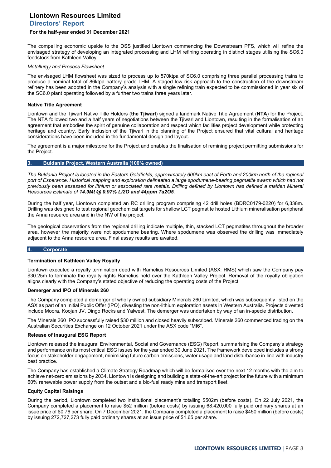# **Liontown Resources Limited Directors' Report**

#### **For the half-year ended 31 December 2021**

The compelling economic upside to the DSS justified Liontown commencing the Downstream PFS, which will refine the envisaged strategy of developing an integrated processing and LHM refining operating in distinct stages utilising the SC6.0 feedstock from Kathleen Valley.

#### *Metallurgy and Process Flowsheet*

The envisaged LHM flowsheet was sized to process up to 570ktpa of SC6.0 comprising three parallel processing trains to produce a nominal total of 86ktpa battery grade LHM. A staged low risk approach to the construction of the downstream refinery has been adopted in the Company's analysis with a single refining train expected to be commissioned in year six of the SC6.0 plant operating followed by a further two trains three years later.

#### **Native Title Agreement**

Liontown and the Tjiwarl Native Title Holders (**the Tjiwarl**) signed a landmark Native Title Agreement (**NTA**) for the Project. The NTA followed two and a half years of negotiations between the Tjiwarl and Liontown, resulting in the formalisation of an agreement that embodies the spirit of genuine collaboration and respect which facilities project development while protecting heritage and country. Early inclusion of the Tjiwarl in the planning of the Project ensured that vital cultural and heritage considerations have been included in the fundamental design and layout.

The agreement is a major milestone for the Project and enables the finalisation of remining project permitting submissions for the Project.

#### **3. Buldania Project, Western Australia (100% owned)**

*The Buldania Project is located in the Eastern Goldfields, approximately 600km east of Perth and 200km north of the regional*  port of Esperance. Historical mapping and exploration delineated a large spodumene-bearing pegmatite swarm which had not *previously been assessed for lithium or associated rare metals. Drilling defined by Liontown has defined a maiden Mineral Resources Estimate of 14.9Mt @ 0.97% Li2O and 44ppm Ta2O5.* 

During the half year, Liontown completed an RC drilling program comprising 42 drill holes (BDRC0179-0220) for 6,338m. Drilling was designed to test regional geochemical targets for shallow LCT pegmatite hosted Lithium mineralisation peripheral the Anna resource area and in the NW of the project.

The geological observations from the regional drilling indicate multiple, thin, stacked LCT pegmatites throughout the broader area, however the majority were not spodumene bearing. Where spodumene was observed the drilling was immediately adjacent to the Anna resource area. Final assay results are awaited.

#### **4. Corporate**

#### **Termination of Kathleen Valley Royalty**

Liontown executed a royalty termination deed with Ramelius Resources Limited (ASX: RMS) which saw the Company pay \$30.25m to terminate the royalty rights Ramelius held over the Kathleen Valley Project. Removal of the royalty obligation aligns clearly with the Company's stated objective of reducing the operating costs of the Project.

#### **Demerger and IPO of Minerals 260**

The Company completed a demerger of wholly owned subsidiary Minerals 260 Limited, which was subsequently listed on the ASX as part of an Initial Public Offer (IPO), divesting the non-lithium exploration assets in Western Australia. Projects divested include Moora, Koojan JV, Dingo Rocks and Yalwest. The demerger was undertaken by way of an in-specie distribution.

The Minerals 260 IPO successfully raised \$30 million and closed heavily subscribed. Minerals 260 commenced trading on the Australian Securities Exchange on 12 October 2021 under the ASX code "MI6".

#### **Release of Inaugural ESG Report**

Liontown released the inaugural Environmental, Social and Governance (ESG) Report, summarising the Company's strategy and performance on its most critical ESG issues for the year ended 30 June 2021. The framework developed includes a strong focus on stakeholder engagement, minimising future carbon emissions, water usage and land disturbance in-line with industry best practice.

The Company has established a Climate Strategy Roadmap which will be formalised over the next 12 months with the aim to achieve net-zero emissions by 2034. Liontown is designing and building a state-of-the-art project for the future with a minimum 60% renewable power supply from the outset and a bio-fuel ready mine and transport fleet.

#### **Equity Capital Raisings**

During the period, Liontown completed two institutional placement's totalling \$502m (before costs). On 22 July 2021, the Company completed a placement to raise \$52 million (before costs) by issuing 68,420,000 fully paid ordinary shares at an issue price of \$0.76 per share. On 7 December 2021, the Company completed a placement to raise \$450 million (before costs) by issuing 272,727,273 fully paid ordinary shares at an issue price of \$1.65 per share.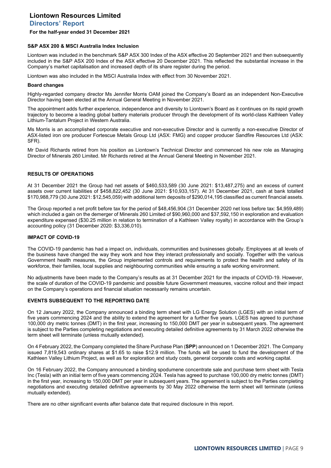**Directors' Report**

#### **For the half-year ended 31 December 2021**

#### **S&P ASX 200 & MSCI Australia Index Inclusion**

Liontown was included in the benchmark S&P ASX 300 Index of the ASX effective 20 September 2021 and then subsequently included in the S&P ASX 200 Index of the ASX effective 20 December 2021. This reflected the substantial increase in the Company's market capitalisation and increased depth of its share register during the period.

Liontown was also included in the MSCI Australia Index with effect from 30 November 2021.

#### **Board changes**

Highly-regarded company director Ms Jennifer Morris OAM joined the Company's Board as an independent Non-Executive Director having been elected at the Annual General Meeting in November 2021.

The appointment adds further experience, independence and diversity to Liontown's Board as it continues on its rapid growth trajectory to become a leading global battery materials producer through the development of its world-class Kathleen Valley Lithium-Tantalum Project in Western Australia.

Ms Morris is an accomplished corporate executive and non-executive Director and is currently a non-executive Director of ASX-listed iron ore producer Fortescue Metals Group Ltd (ASX: FMG) and copper producer Sandfire Resources Ltd (ASX: SFR).

Mr David Richards retired from his position as Liontown's Technical Director and commenced his new role as Managing Director of Minerals 260 Limited. Mr Richards retired at the Annual General Meeting in November 2021.

#### **RESULTS OF OPERATIONS**

At 31 December 2021 the Group had net assets of \$460,533,589 (30 June 2021: \$13,487,275) and an excess of current assets over current liabilities of \$458,822,452 (30 June 2021: \$10,933,157). At 31 December 2021, cash at bank totalled \$170,988,779 (30 June 2021: \$12,545,059) with additional term deposits of \$290,014,195 classified as current financial assets.

The Group reported a net profit before tax for the period of \$48,456,904 (31 December 2020 net loss before tax: \$4,959,489) which included a gain on the demerger of Minerals 260 Limited of \$90,960,000 and \$37,592,150 in exploration and evaluation expenditure expensed (\$30.25 million in relation to termination of a Kathleen Valley royalty) in accordance with the Group's accounting policy (31 December 2020: \$3,336,010).

#### **IMPACT OF COVID-19**

The COVID-19 pandemic has had a impact on, individuals, communities and businesses globally. Employees at all levels of the business have changed the way they work and how they interact professionally and socially. Together with the various Government health measures, the Group implemented controls and requirements to protect the health and safety of its workforce, their families, local supplies and neighbouring communities while ensuring a safe working environment.

No adjustments have been made to the Company's results as at 31 December 2021 for the impacts of COVID-19. However, the scale of duration of the COVID-19 pandemic and possible future Government measures, vaccine rollout and their impact on the Company's operations and financial situation necessarily remains uncertain.

## **EVENTS SUBSEQUENT TO THE REPORTING DATE**

On 12 January 2022, the Company announced a binding term sheet with LG Energy Solution (LGES) with an initial term of five years commencing 2024 and the ability to extend the agreement for a further five years. LGES has agreed to purchase 100,000 dry metric tonnes (DMT) in the first year, increasing to 150,000 DMT per year in subsequent years. The agreement is subject to the Parties completing negotiations and executing detailed definitive agreements by 31 March 2022 otherwise the term sheet will terminate (unless mutually extended).

On 4 February 2022, the Company completed the Share Purchase Plan (**SPP**) announced on 1 December 2021. The Company issued 7,819,543 ordinary shares at \$1.65 to raise \$12.9 million. The funds will be used to fund the development of the Kathleen Valley Lithium Project, as well as for exploration and study costs, general corporate costs and working capital.

On 16 February 2022, the Company announced a binding spodumene concentrate sale and purchase term sheet with Tesla Inc (Tesla) with an initial term of five years commencing 2024. Tesla has agreed to purchase 100,000 dry metric tonnes (DMT) in the first year, increasing to 150,000 DMT per year in subsequent years. The agreement is subject to the Parties completing negotiations and executing detailed definitive agreements by 30 May 2022 otherwise the term sheet will terminate (unless mutually extended).

There are no other significant events after balance date that required disclosure in this report.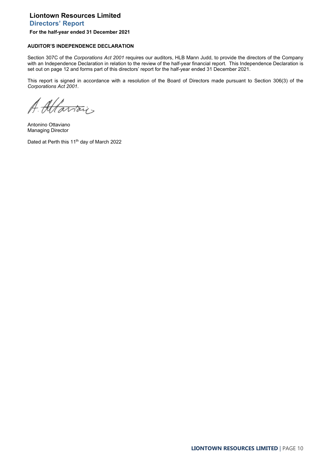**Directors' Report**

## **For the half-year ended 31 December 2021**

# **AUDITOR'S INDEPENDENCE DECLARATION**

Section 307C of the *Corporations Act 2001* requires our auditors, HLB Mann Judd, to provide the directors of the Company with an Independence Declaration in relation to the review of the half-year financial report. This Independence Declaration is set out on page 12 and forms part of this directors' report for the half-year ended 31 December 2021.

This report is signed in accordance with a resolution of the Board of Directors made pursuant to Section 306(3) of the *Corporations Act 2001*.

A. Altariais

Antonino Ottaviano Managing Director

Dated at Perth this 11<sup>th</sup> day of March 2022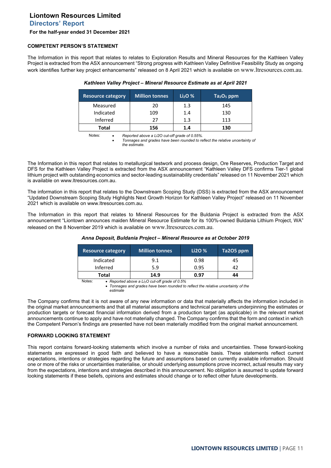**Directors' Report**

#### **For the half-year ended 31 December 2021**

## **COMPETENT PERSON'S STATEMENT**

The Information in this report that relates to relates to Exploration Results and Mineral Resources for the Kathleen Valley Project is extracted from the ASX announcement "Strong progress with Kathleen Valley Definitive Feasibility Study as ongoing work identifies further key project enhancements" released on 8 April 2021 which is available on [www.ltresources.com.au](http://www.ltresources.com.au/).

| <b>Resource category</b> | <b>Million tonnes</b> | $Li2O$ % | $Ta2O5$ ppm |
|--------------------------|-----------------------|----------|-------------|
| Measured                 | 20                    | 1.3      | 145         |
| Indicated                | 109                   | 1.4      | 130         |
| Inferred                 | 27                    | 1.3      | 113         |
| Total                    | 156                   | 1.4      | 130         |

#### *Kathleen Valley Project – Mineral Resource Estimate as at April 2021*

Notes: • *Reported above a Li2O cut-off grade of 0.55%.*

• *Tonnages and grades have been rounded to reflect the relative uncertainty of the estimate.* 

The Information in this report that relates to metallurgical testwork and process design, Ore Reserves, Production Target and DFS for the Kathleen Valley Project is extracted from the ASX announcement "Kathleen Valley DFS confirms Tier-1 global lithium project with outstanding economics and sector-leading sustainability credentials" released on 11 November 2021 which is available on www.ltresources.com.au.

The information in this report that relates to the Downstream Scoping Study (DSS) is extracted from the ASX announcement "Updated Downstream Scoping Study Highlights Next Growth Horizon for Kathleen Valley Project" released on 11 November 2021 which is available on www.ltresources.com.au.

The Information in this report that relates to Mineral Resources for the Buldania Project is extracted from the ASX announcement "Liontown announces maiden Mineral Resource Estimate for its 100%-owned Buldania Lithium Project, WA" released on the 8 November 2019 which is available on [www.ltresources.com.au](http://www.ltresources.com.au/).

| <b>Resource category</b> | <b>Million tonnes</b> | Li2O % | Ta2O5 ppm |
|--------------------------|-----------------------|--------|-----------|
| Indicated                | 9.1                   | 0.98   | 45        |
| Inferred                 | 5.9                   | 0.95   | 42        |
| Total                    | 14.9                  | 0.97   | 44        |

## *Anna Deposit, Buldania Project – Mineral Resource as at October 2019*

Notes: • *Reported above a Li<sub>2</sub>O cut-off grade of 0.5%* 

• *Tonnages and grades have been rounded to reflect the relative uncertainty of the estimate*

The Company confirms that it is not aware of any new information or data that materially affects the information included in the original market announcements and that all material assumptions and technical parameters underpinning the estimates or production targets or forecast financial information derived from a production target (as applicable) in the relevant market announcements continue to apply and have not materially changed. The Company confirms that the form and context in which the Competent Person's findings are presented have not been materially modified from the original market announcement.

## **FORWARD LOOKING STATEMENT**

This report contains forward-looking statements which involve a number of risks and uncertainties. These forward-looking statements are expressed in good faith and believed to have a reasonable basis. These statements reflect current expectations, intentions or strategies regarding the future and assumptions based on currently available information. Should one or more of the risks or uncertainties materialise, or should underlying assumptions prove incorrect, actual results may vary from the expectations, intentions and strategies described in this announcement. No obligation is assumed to update forward looking statements if these beliefs, opinions and estimates should change or to reflect other future developments.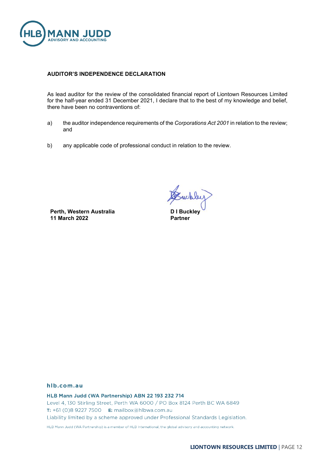

# **AUDITOR'S INDEPENDENCE DECLARATION**

As lead auditor for the review of the consolidated financial report of Liontown Resources Limited for the half-year ended 31 December 2021, I declare that to the best of my knowledge and belief, there have been no contraventions of:

- a) the auditor independence requirements of the *Corporations Act 2001* in relation to the review; and
- b) any applicable code of professional conduct in relation to the review.

**Perth, Western Australia 11 March 2022**

whley

**D I Buckley Partner**

# hlb.com.au

HLB Mann Judd (WA Partnership) ABN 22 193 232 714 Level 4, 130 Stirling Street, Perth WA 6000 / PO Box 8124 Perth BC WA 6849 T: +61 (0)8 9227 7500 E: mailbox@hlbwa.com.au Liability limited by a scheme approved under Professional Standards Legislation. HLB Mann Judd (WA Partnership) is a member of HLB International, the global advisory and accounting network.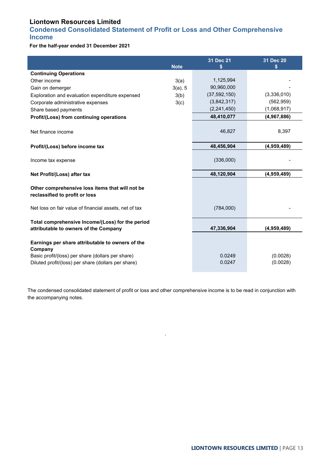# <span id="page-12-0"></span>**Condensed Consolidated Statement of Profit or Loss and Other Comprehensive Income**

**For the half-year ended 31 December 2021**

|                                                                                                                  | <b>Note</b> | 31 Dec 21<br>\$ | 31 Dec 20<br>\$ |
|------------------------------------------------------------------------------------------------------------------|-------------|-----------------|-----------------|
| <b>Continuing Operations</b>                                                                                     |             |                 |                 |
| Other income                                                                                                     | 3(a)        | 1,125,994       |                 |
| Gain on demerger                                                                                                 | 3(a), 5     | 90,960,000      |                 |
| Exploration and evaluation expenditure expensed                                                                  | 3(b)        | (37, 592, 150)  | (3,336,010)     |
| Corporate administrative expenses                                                                                | 3(c)        | (3,842,317)     | (562, 959)      |
| Share based payments                                                                                             |             | (2, 241, 450)   | (1,068,917)     |
| Profit/(Loss) from continuing operations                                                                         |             | 48,410,077      | (4,967,886)     |
| Net finance income                                                                                               |             | 46,827          | 8,397           |
| Profit/(Loss) before income tax                                                                                  |             | 48,456,904      | (4,959,489)     |
| Income tax expense                                                                                               |             | (336,000)       |                 |
| Net Profit/(Loss) after tax                                                                                      |             | 48,120,904      | (4,959,489)     |
| Other comprehensive loss items that will not be<br>reclassified to profit or loss                                |             |                 |                 |
| Net loss on fair value of financial assets, net of tax                                                           |             | (784,000)       |                 |
| Total comprehensive Income/(Loss) for the period<br>attributable to owners of the Company                        |             | 47,336,904      | (4,959,489)     |
| Earnings per share attributable to owners of the<br>Company<br>Basic profit/(loss) per share (dollars per share) |             | 0.0249          | (0.0028)        |
| Diluted profit/(loss) per share (dollars per share)                                                              |             | 0.0247          | (0.0028)        |

The condensed consolidated statement of profit or loss and other comprehensive income is to be read in conjunction with the accompanying notes.

.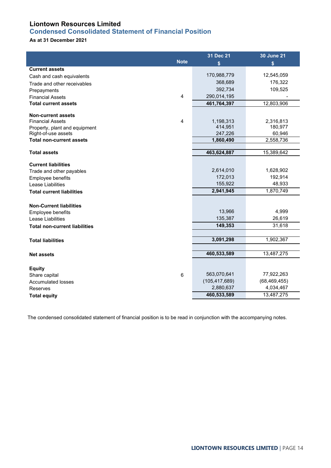# <span id="page-13-0"></span>**Condensed Consolidated Statement of Financial Position**

# **As at 31 December 2021**

|                                                      |             | 31 Dec 21            | <b>30 June 21</b>    |
|------------------------------------------------------|-------------|----------------------|----------------------|
|                                                      | <b>Note</b> | \$                   | \$                   |
| <b>Current assets</b>                                |             |                      |                      |
| Cash and cash equivalents                            |             | 170,988,779          | 12,545,059           |
| Trade and other receivables                          |             | 368,689              | 176,322              |
| Prepayments                                          |             | 392,734              | 109,525              |
| <b>Financial Assets</b>                              | 4           | 290,014,195          |                      |
| <b>Total current assets</b>                          |             | 461,764,397          | 12,803,906           |
|                                                      |             |                      |                      |
| <b>Non-current assets</b><br><b>Financial Assets</b> | 4           |                      |                      |
|                                                      |             | 1,198,313<br>414,951 | 2,316,813<br>180,977 |
| Property, plant and equipment<br>Right-of-use assets |             | 247,226              | 60,946               |
| <b>Total non-current assets</b>                      |             | 1,860,490            | 2,558,736            |
|                                                      |             |                      |                      |
| <b>Total assets</b>                                  |             | 463,624,887          | 15,389,642           |
| <b>Current liabilities</b>                           |             |                      |                      |
| Trade and other payables                             |             | 2,614,010            | 1,628,902            |
| Employee benefits                                    |             | 172,013              | 192,914              |
| Lease Liabilities                                    |             | 155,922              | 48,933               |
| <b>Total current liabilities</b>                     |             | 2,941,945            | 1,870,749            |
| <b>Non-Current liabilities</b>                       |             |                      |                      |
| Employee benefits                                    |             | 13,966               | 4,999                |
| Lease Liabilities                                    |             | 135,387              | 26,619               |
| <b>Total non-current liabilities</b>                 |             | 149,353              | 31,618               |
|                                                      |             |                      |                      |
| <b>Total liabilities</b>                             |             | 3,091,298            | 1,902,367            |
|                                                      |             |                      |                      |
| <b>Net assets</b>                                    |             | 460,533,589          | 13,487,275           |
| <b>Equity</b>                                        |             |                      |                      |
| Share capital                                        | 6           | 563,070,641          | 77,922,263           |
| <b>Accumulated losses</b>                            |             | (105, 417, 689)      | (68, 469, 455)       |
| Reserves                                             |             | 2,880,637            | 4,034,467            |
| <b>Total equity</b>                                  |             | 460,533,589          | 13,487,275           |

The condensed consolidated statement of financial position is to be read in conjunction with the accompanying notes.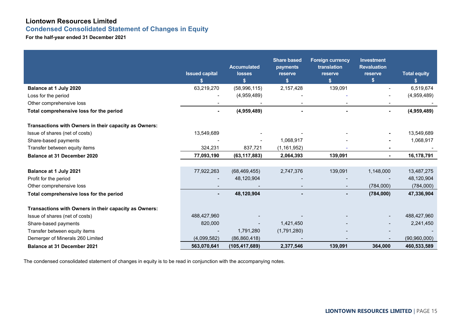**Condensed Consolidated Statement of Changes in Equity**

**For the half-year ended 31 December 2021**

|                                                       | <b>Issued capital</b> | <b>Accumulated</b><br><b>losses</b> | <b>Share based</b><br>payments<br>reserve | <b>Foreign currency</b><br>translation<br>reserve | <b>Investment</b><br><b>Revaluation</b><br>reserve | <b>Total equity</b> |
|-------------------------------------------------------|-----------------------|-------------------------------------|-------------------------------------------|---------------------------------------------------|----------------------------------------------------|---------------------|
|                                                       | \$                    | \$                                  | \$                                        | $\mathbf{s}$                                      | \$                                                 | \$                  |
| Balance at 1 July 2020                                | 63,219,270            | (58,996,115)                        | 2,157,428                                 | 139,091                                           |                                                    | 6,519,674           |
| Loss for the period                                   |                       | (4,959,489)                         |                                           |                                                   |                                                    | (4,959,489)         |
| Other comprehensive loss                              |                       |                                     |                                           |                                                   | $\blacksquare$                                     |                     |
| Total comprehensive loss for the period               | ٠                     | (4,959,489)                         |                                           | $\blacksquare$                                    | $\blacksquare$                                     | (4,959,489)         |
| Transactions with Owners in their capacity as Owners: |                       |                                     |                                           |                                                   |                                                    |                     |
| Issue of shares (net of costs)                        | 13,549,689            |                                     |                                           |                                                   |                                                    | 13,549,689          |
| Share-based payments                                  |                       |                                     | 1,068,917                                 |                                                   |                                                    | 1,068,917           |
| Transfer between equity items                         | 324,231               | 837,721                             | (1, 161, 952)                             |                                                   |                                                    |                     |
| <b>Balance at 31 December 2020</b>                    | 77,093,190            | (63, 117, 883)                      | 2,064,393                                 | 139,091                                           | $\blacksquare$                                     | 16,178,791          |
| Balance at 1 July 2021                                | 77,922,263            | (68, 469, 455)                      | 2,747,376                                 | 139,091                                           | 1,148,000                                          | 13,487,275          |
| Profit for the period                                 |                       | 48,120,904                          |                                           |                                                   |                                                    | 48,120,904          |
| Other comprehensive loss                              |                       |                                     |                                           |                                                   | (784,000)                                          | (784,000)           |
| Total comprehensive loss for the period               | ۰.                    | 48,120,904                          |                                           | $\blacksquare$                                    | (784,000)                                          | 47,336,904          |
| Transactions with Owners in their capacity as Owners: |                       |                                     |                                           |                                                   |                                                    |                     |
| Issue of shares (net of costs)                        | 488,427,960           |                                     |                                           |                                                   |                                                    | 488,427,960         |
| Share-based payments                                  | 820,000               |                                     | 1,421,450                                 |                                                   |                                                    | 2,241,450           |
| Transfer between equity items                         |                       | 1,791,280                           | (1,791,280)                               |                                                   |                                                    |                     |
| Demerger of Minerals 260 Limited                      | (4,099,582)           | (86, 860, 418)                      |                                           |                                                   |                                                    | (90, 960, 000)      |
| <b>Balance at 31 December 2021</b>                    | 563,070,641           | (105, 417, 689)                     | 2,377,546                                 | 139,091                                           | 364,000                                            | 460,533,589         |

<span id="page-14-0"></span>The condensed consolidated statement of changes in equity is to be read in conjunction with the accompanying notes.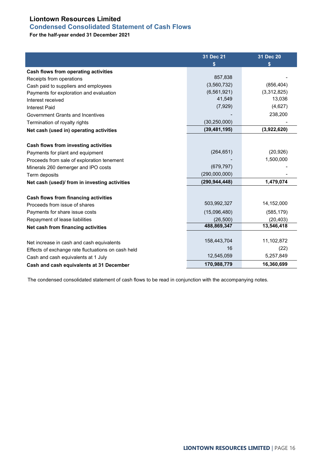# <span id="page-15-0"></span>**Condensed Consolidated Statement of Cash Flows**

**For the half-year ended 31 December 2021**

|                                                    | 31 Dec 21       | 31 Dec 20   |
|----------------------------------------------------|-----------------|-------------|
|                                                    | \$              | S           |
| Cash flows from operating activities               |                 |             |
| Receipts from operations                           | 857,838         |             |
| Cash paid to suppliers and employees               | (3,560,732)     | (856, 404)  |
| Payments for exploration and evaluation            | (6, 561, 921)   | (3,312,825) |
| Interest received                                  | 41,549          | 13,036      |
| <b>Interest Paid</b>                               | (7,929)         | (4,627)     |
| Government Grants and Incentives                   |                 | 238,200     |
| Termination of royalty rights                      | (30, 250, 000)  |             |
| Net cash (used in) operating activities            | (39, 481, 195)  | (3,922,620) |
|                                                    |                 |             |
| Cash flows from investing activities               |                 |             |
| Payments for plant and equipment                   | (264, 651)      | (20, 926)   |
| Proceeds from sale of exploration tenement         |                 | 1,500,000   |
| Minerals 260 demerger and IPO costs                | (679, 797)      |             |
| Term deposits                                      | (290,000,000)   |             |
| Net cash (used)/ from in investing activities      | (290, 944, 448) | 1,479,074   |
| Cash flows from financing activities               |                 |             |
| Proceeds from issue of shares                      | 503,992,327     | 14,152,000  |
| Payments for share issue costs                     | (15,096,480)    | (585, 179)  |
| Repayment of lease liabilities                     | (26, 500)       | (20, 403)   |
| Net cash from financing activities                 | 488,869,347     | 13,546,418  |
|                                                    |                 |             |
| Net increase in cash and cash equivalents          | 158,443,704     | 11,102,872  |
| Effects of exchange rate fluctuations on cash held | 16              | (22)        |
| Cash and cash equivalents at 1 July                | 12,545,059      | 5,257,849   |
| Cash and cash equivalents at 31 December           | 170,988,779     | 16,360,699  |

The condensed consolidated statement of cash flows to be read in conjunction with the accompanying notes.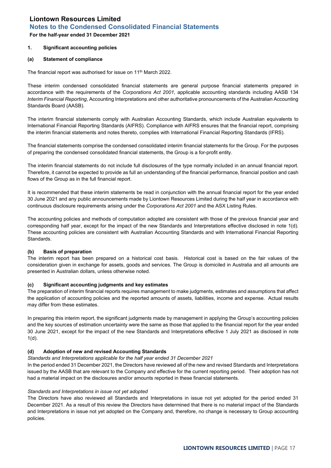<span id="page-16-0"></span>**For the half-year ended 31 December 2021**

# **1. Significant accounting policies**

# **(a) Statement of compliance**

The financial report was authorised for issue on 11<sup>th</sup> March 2022.

These interim condensed consolidated financial statements are general purpose financial statements prepared in accordance with the requirements of the *Corporations Act 2001*, applicable accounting standards including AASB 134 *Interim Financial Reporting*, Accounting Interpretations and other authoritative pronouncements of the Australian Accounting Standards Board (AASB).

The interim financial statements comply with Australian Accounting Standards, which include Australian equivalents to International Financial Reporting Standards (AIFRS). Compliance with AIFRS ensures that the financial report, comprising the interim financial statements and notes thereto, complies with International Financial Reporting Standards (IFRS).

The financial statements comprise the condensed consolidated interim financial statements for the Group. For the purposes of preparing the condensed consolidated financial statements, the Group is a for-profit entity.

The interim financial statements do not include full disclosures of the type normally included in an annual financial report. Therefore, it cannot be expected to provide as full an understanding of the financial performance, financial position and cash flows of the Group as in the full financial report.

It is recommended that these interim statements be read in conjunction with the annual financial report for the year ended 30 June 2021 and any public announcements made by Liontown Resources Limited during the half year in accordance with continuous disclosure requirements arising under the *Corporations Act 2001* and the ASX Listing Rules.

The accounting policies and methods of computation adopted are consistent with those of the previous financial year and corresponding half year, except for the impact of the new Standards and Interpretations effective disclosed in note 1(d). These accounting policies are consistent with Australian Accounting Standards and with International Financial Reporting Standards.

## **(b) Basis of preparation**

The interim report has been prepared on a historical cost basis. Historical cost is based on the fair values of the consideration given in exchange for assets, goods and services. The Group is domiciled in Australia and all amounts are presented in Australian dollars, unless otherwise noted.

# **(c) Significant accounting judgments and key estimates**

The preparation of interim financial reports requires management to make judgments, estimates and assumptions that affect the application of accounting policies and the reported amounts of assets, liabilities, income and expense. Actual results may differ from these estimates.

In preparing this interim report, the significant judgments made by management in applying the Group's accounting policies and the key sources of estimation uncertainty were the same as those that applied to the financial report for the year ended 30 June 2021, except for the impact of the new Standards and Interpretations effective 1 July 2021 as disclosed in note 1(d).

## **(d) Adoption of new and revised Accounting Standards**

## *Standards and Interpretations applicable for the half year ended 31 December 2021*

In the period ended 31 December 2021, the Directors have reviewed all of the new and revised Standards and Interpretations issued by the AASB that are relevant to the Company and effective for the current reporting period. Their adoption has not had a material impact on the disclosures and/or amounts reported in these financial statements.

## *Standards and Interpretations in issue not yet adopted*

The Directors have also reviewed all Standards and Interpretations in issue not yet adopted for the period ended 31 December 2021. As a result of this review the Directors have determined that there is no material impact of the Standards and Interpretations in issue not yet adopted on the Company and, therefore, no change is necessary to Group accounting policies.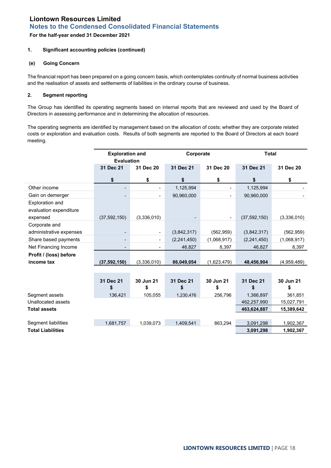**For the half-year ended 31 December 2021**

# **1. Significant accounting policies (continued)**

## **(e) Going Concern**

The financial report has been prepared on a going concern basis, which contemplates continuity of normal business activities and the realisation of assets and settlements of liabilities in the ordinary course of business.

# **2. Segment reporting**

The Group has identified its operating segments based on internal reports that are reviewed and used by the Board of Directors in assessing performance and in determining the allocation of resources.

The operating segments are identified by management based on the allocation of costs; whether they are corporate related costs or exploration and evaluation costs. Results of both segments are reported to the Board of Directors at each board meeting.

|                          | <b>Exploration and</b><br>Corporate |                          | <b>Total</b> |                          |                |             |
|--------------------------|-------------------------------------|--------------------------|--------------|--------------------------|----------------|-------------|
|                          | <b>Evaluation</b>                   |                          |              |                          |                |             |
|                          | 31 Dec 21                           | 31 Dec 20                | 31 Dec 21    | 31 Dec 20                | 31 Dec 21      | 31 Dec 20   |
|                          | \$                                  | \$                       | \$           | \$                       | \$             | \$          |
| Other income             | -                                   |                          | 1,125,994    | $\overline{\phantom{a}}$ | 1,125,994      |             |
| Gain on demerger         | $\overline{a}$                      |                          | 90,960,000   | ٠                        | 90,960,000     |             |
| Exploration and          |                                     |                          |              |                          |                |             |
| evaluation expenditure   |                                     |                          |              |                          |                |             |
| expensed                 | (37, 592, 150)                      | (3,336,010)              |              | $\blacksquare$           | (37, 592, 150) | (3,336,010) |
| Corporate and            |                                     |                          |              |                          |                |             |
| administrative expenses  |                                     | $\overline{\phantom{a}}$ | (3,842,317)  | (562, 959)               | (3,842,317)    | (562, 959)  |
| Share based payments     | $\overline{\phantom{a}}$            |                          | (2,241,450)  | (1,068,917)              | (2,241,450)    | (1,068,917) |
| Net Financing Income     |                                     |                          | 46,827       | 8,397                    | 46,827         | 8,397       |
| Profit / (loss) before   |                                     |                          |              |                          |                |             |
| income tax               | (37,592,150)                        | (3,336,010)              | 86,049,054   | (1,623,479)              | 48,456,904     | (4,959,489) |
|                          |                                     |                          |              |                          |                |             |
|                          | 31 Dec 21                           | 30 Jun 21                | 31 Dec 21    | 30 Jun 21                | 31 Dec 21      | 30 Jun 21   |
|                          | \$                                  | \$                       | \$           | \$                       | \$             | \$          |
| Segment assets           | 136,421                             | 105,055                  | 1,230,476    | 256,796                  | 1,366,897      | 361,851     |
| Unallocated assets       |                                     |                          |              |                          | 462,257,990    | 15,027,791  |
| <b>Total assets</b>      |                                     |                          |              |                          | 463,624,887    | 15,389,642  |
|                          |                                     |                          |              |                          |                |             |
| Segment liabilities      | 1,681,757                           | 1,039,073                | 1,409,541    | 863,294                  | 3,091,298      | 1,902,367   |
| <b>Total Liabilities</b> |                                     |                          | 3,091,298    | 1,902,367                |                |             |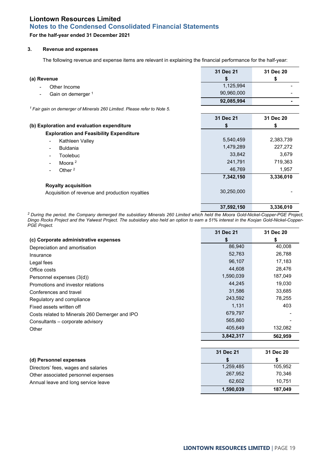**For the half-year ended 31 December 2021**

## **3. Revenue and expenses**

The following revenue and expense items are relevant in explaining the financial performance for the half-year:

|                                                                                     | 31 Dec 21  | 31 Dec 20 |
|-------------------------------------------------------------------------------------|------------|-----------|
| (a) Revenue                                                                         | S          | \$        |
| Other Income                                                                        | 1,125,994  |           |
| Gain on demerger 1<br>$\blacksquare$                                                | 90,960,000 |           |
|                                                                                     | 92,085,994 |           |
| <sup>1</sup> Fair gain on demerger of Minerals 260 Limited. Please refer to Note 5. |            |           |
|                                                                                     | 31 Dec 21  | 31 Dec 20 |
| (b) Exploration and evaluation expenditure                                          | \$         | \$        |
| <b>Exploration and Feasibility Expenditure</b>                                      |            |           |
| Kathleen Valley                                                                     | 5,540,459  | 2,383,739 |
| <b>Buldania</b>                                                                     | 1,479,289  | 227,272   |
| Toolebuc                                                                            | 33,842     | 3,679     |
| Moora <sup>2</sup>                                                                  | 241,791    | 719,363   |
| Other $2$                                                                           | 46,769     | 1,957     |
|                                                                                     | 7,342,150  | 3,336,010 |
| <b>Royalty acquisition</b>                                                          |            |           |
| Acquisition of revenue and production royalties                                     | 30,250,000 |           |
|                                                                                     |            |           |
|                                                                                     | 37,592,150 | 3,336,010 |

*2 During the period, the Company demerged the subsidiary Minerals 260 Limited which held the Moora Gold-Nickel-Copper-PGE Project, Dingo Rocks Project and the Yalwest Project. The subsidiary also held an option to earn a 51% interest in the Koojan Gold-Nickel-Copper-PGE Project.*

|                                                | 31 Dec 21 | 31 Dec 20 |
|------------------------------------------------|-----------|-----------|
| (c) Corporate administrative expenses          | \$        | \$        |
| Depreciation and amortisation                  | 86,940    | 40,008    |
| Insurance                                      | 52,763    | 26,788    |
| Legal fees                                     | 96,107    | 17,183    |
| Office costs                                   | 44,608    | 28,476    |
| Personnel expenses (3(d))                      | 1,590,039 | 187,049   |
| Promotions and investor relations              | 44,245    | 19,030    |
| Conferences and travel                         | 31,586    | 33,685    |
| Regulatory and compliance                      | 243,592   | 78,255    |
| Fixed assets written off                       | 1,131     | 403       |
| Costs related to Minerals 260 Demerger and IPO | 679,797   |           |
| Consultants – corporate advisory               | 565,860   |           |
| Other                                          | 405,649   | 132,082   |
|                                                | 3,842,317 | 562,959   |
|                                                |           |           |
|                                                | 31 Dec 21 | 31 Dec 20 |
| (d) Personnel expenses                         | S         | \$        |
| Directors' fees, wages and salaries            | 1,259,485 | 105,952   |
| Other associated personnel expenses            | 267,952   | 70,346    |
| Annual leave and long service leave            | 62,602    | 10,751    |
|                                                | 1,590,039 | 187,049   |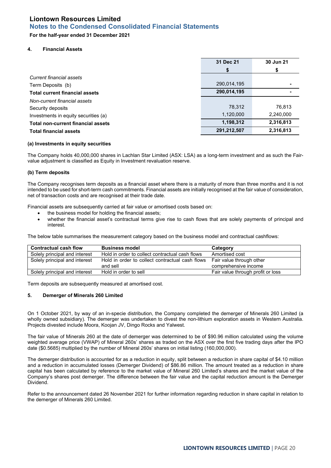# **For the half-year ended 31 December 2021**

#### **4. Financial Assets**

|                                           | 31 Dec 21   | 30 Jun 21 |
|-------------------------------------------|-------------|-----------|
|                                           | S           |           |
| Current financial assets                  |             |           |
| Term Deposits (b)                         | 290,014,195 |           |
| <b>Total current financial assets</b>     | 290,014,195 |           |
| Non-current financial assets              |             |           |
| Security deposits                         | 78,312      | 76,813    |
| Investments in equity securities (a)      | 1,120,000   | 2,240,000 |
| <b>Total non-current financial assets</b> | 1,198,312   | 2,316,813 |
| <b>Total financial assets</b>             | 291,212,507 | 2,316,813 |

#### **(a) Investments in equity securities**

The Company holds 40,000,000 shares in Lachlan Star Limited (ASX: LSA) as a long-term investment and as such the Fairvalue adjustment is classified as Equity in Investment revaluation reserve.

#### **(b) Term deposits**

The Company recognises term deposits as a financial asset where there is a maturity of more than three months and it is not intended to be used for short-term cash commitments. Financial assets are initially recognised at the fair value of consideration, net of transaction costs and are recognised at their trade date.

Financial assets are subsequently carried at fair value or amortised costs based on:

- the business model for holding the financial assets;
- whether the financial asset's contractual terms give rise to cash flows that are solely payments of principal and interest.

The below table summarises the measurement category based on the business model and contractual cashflows:

| <b>Contractual cash flow</b>  | <b>Business model</b>                           | Category                          |
|-------------------------------|-------------------------------------------------|-----------------------------------|
| Solely principal and interest | Hold in order to collect contractual cash flows | Amortised cost                    |
| Solely principal and interest | Hold in order to collect contractual cash flows | Fair value through other          |
|                               | and sell                                        | comprehensive income              |
| Solely principal and interest | Hold in order to sell                           | Fair value through profit or loss |

Term deposits are subsequently measured at amortised cost.

## **5. Demerger of Minerals 260 Limited**

On 1 October 2021, by way of an in-specie distribution, the Company completed the demerger of Minerals 260 Limited (a wholly owned subsidiary). The demerger was undertaken to divest the non-lithium exploration assets in Western Australia. Projects divested include Moora, Koojan JV, Dingo Rocks and Yalwest.

The fair value of Minerals 260 at the date of demerger was determined to be of \$90.96 million calculated using the volume weighted average price (VWAP) of Mineral 260s' shares as traded on the ASX over the first five trading days after the IPO date (\$0.5685) multiplied by the number of Mineral 260s' shares on initial listing (160,000,000).

The demerger distribution is accounted for as a reduction in equity, split between a reduction in share capital of \$4.10 million and a reduction in accumulated losses (Demerger Dividend) of \$86.86 million. The amount treated as a reduction in share capital has been calculated by reference to the market value of Mineral 260 Limited's shares and the market value of the Company's shares post demerger. The difference between the fair value and the capital reduction amount is the Demerger Dividend.

Refer to the announcement dated 26 November 2021 for further information regarding reduction in share capital in relation to the demerger of Minerals 260 Limited.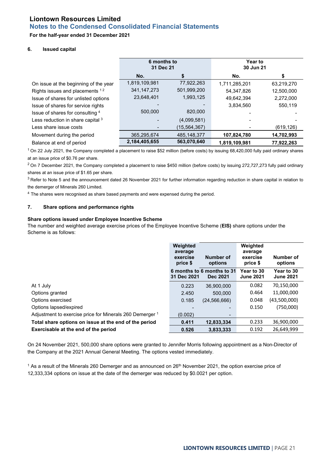# **For the half-year ended 31 December 2021**

## **6. Issued capital**

|                                       | 6 months to<br>31 Dec 21 |                | Year to<br>30 Jun 21 |            |
|---------------------------------------|--------------------------|----------------|----------------------|------------|
|                                       | No.                      |                | No.                  |            |
| On issue at the beginning of the year | 1,819,109,981            | 77,922,263     | 1,711,285,201        | 63,219,270 |
| Rights issues and placements 12       | 341, 147, 273            | 501,999,200    | 54.347.826           | 12,500,000 |
| Issue of shares for unlisted options  | 23,648,401               | 1,993,125      | 49,642,394           | 2,272,000  |
| Issue of shares for service rights    |                          |                | 3.834.560            | 550,119    |
| Issue of shares for consulting 4      | 500,000                  | 820,000        |                      |            |
| Less reduction in share capital 3     |                          | (4,099,581)    |                      |            |
| Less share issue costs                |                          | (15, 564, 367) |                      | (619, 126) |
| Movement during the period            | 365,295,674              | 485,148,377    | 107,824,780          | 14,702,993 |
| Balance at end of period              | 2,184,405,655            | 563,070,640    | 1,819,109,981        | 77,922,263 |

 $1$  On 22 July 2021, the Company completed a placement to raise \$52 million (before costs) by issuing 68,420,000 fully paid ordinary shares at an issue price of \$0.76 per share.

 $2$  On 7 December 2021, the Company completed a placement to raise \$450 million (before costs) by issuing 272,727,273 fully paid ordinary shares at an issue price of \$1.65 per share.

 $3$  Refer to Note 5 and the announcement dated 26 November 2021 for further information regarding reduction in share capital in relation to the demerger of Minerals 260 Limited.

<sup>4</sup> The shares were recognised as share based payments and were expensed during the period.

# **7. Share options and performance rights**

### **Share options issued under Employee Incentive Scheme**

The number and weighted average exercise prices of the Employee Incentive Scheme (**EIS)** share options under the Scheme is as follows:

|                                                          | Weighted<br>average<br>exercise<br>price \$ | Number of<br>options                          | Weighted<br>average<br>exercise<br>price \$ | Number of<br>options           |
|----------------------------------------------------------|---------------------------------------------|-----------------------------------------------|---------------------------------------------|--------------------------------|
|                                                          | 31 Dec 2021                                 | 6 months to 6 months to 31<br><b>Dec 2021</b> | Year to 30<br><b>June 2021</b>              | Year to 30<br><b>June 2021</b> |
| At 1 July                                                | 0.223                                       | 36.900.000                                    | 0.082                                       | 70,150,000                     |
| Options granted                                          | 2.450                                       | 500.000                                       | 0.464                                       | 11,000,000                     |
| Options exercised                                        | 0.185                                       | (24, 566, 666)                                | 0.048                                       | (43,500,000)                   |
| Options lapsed/expired                                   |                                             |                                               | 0.150                                       | (750,000)                      |
| Adjustment to exercise price for Minerals 260 Demerger 1 | (0.002)                                     | $\overline{\phantom{0}}$                      |                                             |                                |
| Total share options on issue at the end of the period    | 0.411                                       | 12,833,334                                    | 0.233                                       | 36,900,000                     |
| Exercisable at the end of the period                     | 0.526                                       | 3,833,333                                     | 0.192                                       | 26.649.999                     |

On 24 November 2021, 500,000 share options were granted to Jennifer Morris following appointment as a Non-Director of the Company at the 2021 Annual General Meeting. The options vested immediately.

<sup>1</sup> As a result of the Minerals 260 Demerger and as announced on 26<sup>th</sup> November 2021, the option exercise price of 12,333,334 options on issue at the date of the demerger was reduced by \$0.0021 per option.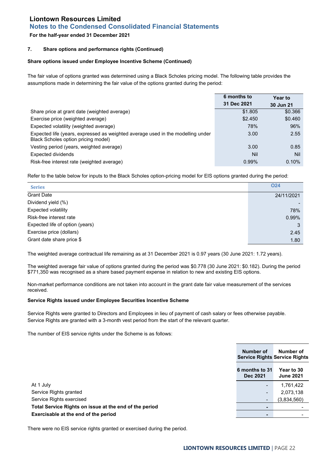# **Notes to the Condensed Consolidated Financial Statements**

# **For the half-year ended 31 December 2021**

# **7. Share options and performance rights (Continued)**

## **Share options issued under Employee Incentive Scheme (Continued)**

The fair value of options granted was determined using a Black Scholes pricing model. The following table provides the assumptions made in determining the fair value of the options granted during the period:

|                                                                                                                        | 6 months to | Year to   |
|------------------------------------------------------------------------------------------------------------------------|-------------|-----------|
|                                                                                                                        | 31 Dec 2021 | 30 Jun 21 |
| Share price at grant date (weighted average)                                                                           | \$1,805     | \$0.366   |
| Exercise price (weighted average)                                                                                      | \$2,450     | \$0.460   |
| Expected volatility (weighted average)                                                                                 | 78%         | 96%       |
| Expected life (years, expressed as weighted average used in the modelling under<br>Black Scholes option pricing model) | 3.00        | 2.55      |
| Vesting period (years, weighted average)                                                                               | 3.00        | 0.85      |
| Expected dividends                                                                                                     | Nil         | Nil       |
| Risk-free interest rate (weighted average)                                                                             | 0.99%       | 0.10%     |

Refer to the table below for inputs to the Black Scholes option-pricing model for EIS options granted during the period:

| <b>Series</b>                   | <b>O24</b> |
|---------------------------------|------------|
| <b>Grant Date</b>               | 24/11/2021 |
| Dividend yield (%)              |            |
| <b>Expected volatility</b>      | 78%        |
| Risk-free interest rate         | 0.99%      |
| Expected life of option (years) | 3          |
| Exercise price (dollars)        | 2.45       |
| Grant date share price \$       | 1.80       |

The weighted average contractual life remaining as at 31 December 2021 is 0.97 years (30 June 2021: 1.72 years).

The weighted average fair value of options granted during the period was \$0.778 (30 June 2021: \$0.182). During the period \$771,350 was recognised as a share based payment expense in relation to new and existing EIS options.

Non-market performance conditions are not taken into account in the grant date fair value measurement of the services received.

## **Service Rights issued under Employee Securities Incentive Scheme**

Service Rights were granted to Directors and Employees in lieu of payment of cash salary or fees otherwise payable. Service Rights are granted with a 3-month vest period from the start of the relevant quarter.

The number of EIS service rights under the Scheme is as follows:

|                                                        | Number of<br><b>Service Rights Service Rights</b> | Number of                      |
|--------------------------------------------------------|---------------------------------------------------|--------------------------------|
|                                                        | 6 months to 31<br>Dec 2021                        | Year to 30<br><b>June 2021</b> |
| At 1 July                                              |                                                   | 1,761,422                      |
| Service Rights granted                                 | $\blacksquare$                                    | 2,073,138                      |
| Service Rights exercised                               | $\overline{\phantom{a}}$                          | (3,834,560)                    |
| Total Service Rights on issue at the end of the period | -                                                 |                                |
| Exercisable at the end of the period                   |                                                   |                                |

There were no EIS service rights granted or exercised during the period.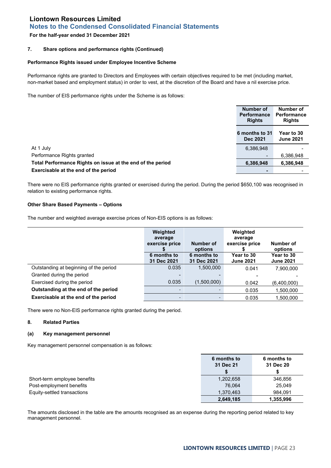# **Notes to the Condensed Consolidated Financial Statements**

# **For the half-year ended 31 December 2021**

## **7. Share options and performance rights (Continued)**

#### **Performance Rights issued under Employee Incentive Scheme**

Performance rights are granted to Directors and Employees with certain objectives required to be met (including market, non-market based and employment status) in order to vest, at the discretion of the Board and have a nil exercise price.

The number of EIS performance rights under the Scheme is as follows:

|                                                            | Number of<br><b>Performance</b><br><b>Rights</b> | Number of<br><b>Performance</b><br><b>Rights</b> |
|------------------------------------------------------------|--------------------------------------------------|--------------------------------------------------|
|                                                            | 6 months to 31<br><b>Dec 2021</b>                | Year to 30<br><b>June 2021</b>                   |
| At 1 July                                                  | 6,386,948                                        |                                                  |
| Performance Rights granted                                 |                                                  | 6,386,948                                        |
| Total Performance Rights on issue at the end of the period | 6,386,948                                        | 6,386,948                                        |
| Exercisable at the end of the period                       |                                                  |                                                  |

There were no EIS performance rights granted or exercised during the period. During the period \$650,100 was recognised in relation to existing performance rights.

# **Other Share Based Payments – Options**

The number and weighted average exercise prices of Non-EIS options is as follows:

|                                        | Weighted<br>average<br>exercise price | Number of<br>options       | Weighted<br>average<br>exercise price | Number of<br>options                  |
|----------------------------------------|---------------------------------------|----------------------------|---------------------------------------|---------------------------------------|
|                                        | 6 months to<br>31 Dec 2021            | 6 months to<br>31 Dec 2021 | Year to 30<br><b>June 2021</b>        | <b>Year to 30</b><br><b>June 2021</b> |
| Outstanding at beginning of the period | 0.035                                 | 1.500.000                  | 0.041                                 | 7,900,000                             |
| Granted during the period              |                                       |                            |                                       |                                       |
| Exercised during the period            | 0.035                                 | (1,500,000)                | 0.042                                 | (6,400,000)                           |
| Outstanding at the end of the period   |                                       | $\overline{\phantom{a}}$   | 0.035                                 | 1,500,000                             |
| Exercisable at the end of the period   | -                                     |                            | 0.035                                 | 1,500,000                             |

There were no Non-EIS performance rights granted during the period.

#### **8. Related Parties**

## **(a) Key management personnel**

Key management personnel compensation is as follows:

|                              | 6 months to<br>31 Dec 21 | 6 months to<br>31 Dec 20 |
|------------------------------|--------------------------|--------------------------|
| Short-term employee benefits | 1,202,658                | 346,856                  |
| Post-employment benefits     | 76.064                   | 25.049                   |
| Equity-settled transactions  | 1.370.463                | 984.091                  |
|                              | 2,649,185                | 1,355,996                |

The amounts disclosed in the table are the amounts recognised as an expense during the reporting period related to key management personnel.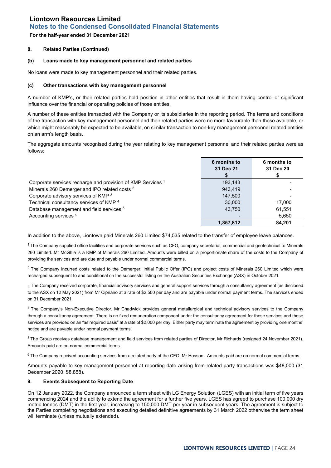# **For the half-year ended 31 December 2021**

## **8. Related Parties (Continued)**

#### **(b) Loans made to key management personnel and related parties**

No loans were made to key management personnel and their related parties.

#### **(c) Other transactions with key management personnel**

A number of KMP's, or their related parties hold position in other entities that result in them having control or significant influence over the financial or operating policies of those entities.

A number of these entities transacted with the Company or its subsidiaries in the reporting period. The terms and conditions of the transaction with key management personnel and their related parties were no more favourable than those available, or which might reasonably be expected to be available, on similar transaction to non-key management personnel related entities on an arm's length basis.

The aggregate amounts recognised during the year relating to key management personnel and their related parties were as follows:

|                                                                        | 6 months to<br>31 Dec 21 | 6 months to<br>31 Dec 20 |
|------------------------------------------------------------------------|--------------------------|--------------------------|
| Corporate services recharge and provision of KMP Services <sup>1</sup> | 193.143                  |                          |
| Minerals 260 Demerger and IPO related costs <sup>2</sup>               | 943.419                  |                          |
| Corporate advisory services of KMP 3                                   | 147.500                  |                          |
| Technical consultancy services of KMP <sup>4</sup>                     | 30,000                   | 17.000                   |
| Database management and field services <sup>5</sup>                    | 43.750                   | 61,551                   |
| Accounting services <sup>6</sup>                                       |                          | 5,650                    |
|                                                                        | 1,357,812                | 84,201                   |

In addition to the above, Liontown paid Minerals 260 Limited \$74,535 related to the transfer of employee leave balances.

 $1$  The Company supplied office facilities and corporate services such as CFO, company secretarial, commercial and geotechnical to Minerals 260 Limited. Mr McGhie is a KMP of Minerals 260 Limited. Amounts were billed on a proportionate share of the costs to the Company of providing the services and are due and payable under normal commercial terms.

 $2$  The Company incurred costs related to the Demerger, Initial Public Offer (IPO) and project costs of Minerals 260 Limited which were recharged subsequent to and conditional on the successful listing on the Australian Securities Exchange (ASX) in October 2021.

3 The Company received corporate, financial advisory services and general support services through a consultancy agreement (as disclosed to the ASX on 12 May 2021) from Mr Cipriano at a rate of \$2,500 per day and are payable under normal payment terms. The services ended on 31 December 2021.

<sup>4</sup> The Company's Non-Executive Director, Mr Chadwick provides general metallurgical and technical advisory services to the Company through a consultancy agreement. There is no fixed remuneration component under the consultancy agreement for these services and those services are provided on an "as required basis" at a rate of \$2,000 per day. Either party may terminate the agreement by providing one months' notice and are payable under normal payment terms.

<sup>5</sup> The Group receives database management and field services from related parties of Director, Mr Richards (resigned 24 November 2021). Amounts paid are on normal commercial terms.

 $6$  The Company received accounting services from a related party of the CFO, Mr Hasson. Amounts paid are on normal commercial terms.

Amounts payable to key management personnel at reporting date arising from related party transactions was \$48,000 (31 December 2020: \$8,858).

#### **9. Events Subsequent to Reporting Date**

On 12 January 2022, the Company announced a term sheet with LG Energy Solution (LGES) with an initial term of five years commencing 2024 and the ability to extend the agreement for a further five years. LGES has agreed to purchase 100,000 dry metric tonnes (DMT) in the first year, increasing to 150,000 DMT per year in subsequent years. The agreement is subject to the Parties completing negotiations and executing detailed definitive agreements by 31 March 2022 otherwise the term sheet will terminate (unless mutually extended).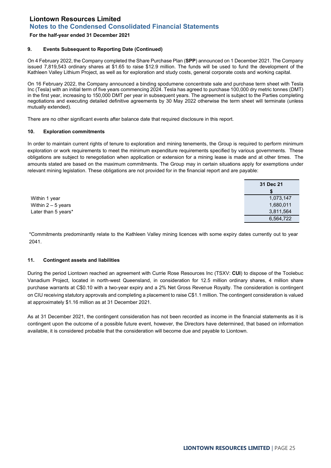# **For the half-year ended 31 December 2021**

## **9. Events Subsequent to Reporting Date (Continued)**

On 4 February 2022, the Company completed the Share Purchase Plan (**SPP**) announced on 1 December 2021. The Company issued 7,819,543 ordinary shares at \$1.65 to raise \$12.9 million. The funds will be used to fund the development of the Kathleen Valley Lithium Project, as well as for exploration and study costs, general corporate costs and working capital.

On 16 February 2022, the Company announced a binding spodumene concentrate sale and purchase term sheet with Tesla Inc (Tesla) with an initial term of five years commencing 2024. Tesla has agreed to purchase 100,000 dry metric tonnes (DMT) in the first year, increasing to 150,000 DMT per year in subsequent years. The agreement is subject to the Parties completing negotiations and executing detailed definitive agreements by 30 May 2022 otherwise the term sheet will terminate (unless mutually extended).

There are no other significant events after balance date that required disclosure in this report.

# **10. Exploration commitments**

In order to maintain current rights of tenure to exploration and mining tenements, the Group is required to perform minimum exploration or work requirements to meet the minimum expenditure requirements specified by various governments. These obligations are subject to renegotiation when application or extension for a mining lease is made and at other times. The amounts stated are based on the maximum commitments. The Group may in certain situations apply for exemptions under relevant mining legislation. These obligations are not provided for in the financial report and are payable:

|                     | 31 Dec 21 |
|---------------------|-----------|
|                     |           |
| Within 1 year       | 1,073,147 |
| Within $2-5$ years  | 1,680,011 |
| Later than 5 years* | 3,811,564 |
|                     | 6,564,722 |

\*Commitments predominantly relate to the Kathleen Valley mining licences with some expiry dates currently out to year 2041.

#### **11. Contingent assets and liabilities**

During the period Liontown reached an agreement with Currie Rose Resources Inc (TSXV: **CUI**) to dispose of the Toolebuc Vanadium Project, located in north-west Queensland, in consideration for 12.5 million ordinary shares, 4 million share purchase warrants at C\$0.10 with a two-year expiry and a 2% Net Gross Revenue Royalty. The consideration is contingent on CIU receiving statutory approvals and completing a placement to raise C\$1.1 million. The contingent consideration is valued at approximately \$1.16 million as at 31 December 2021.

As at 31 December 2021, the contingent consideration has not been recorded as income in the financial statements as it is contingent upon the outcome of a possible future event, however, the Directors have determined, that based on information available, it is considered probable that the consideration will become due and payable to Liontown.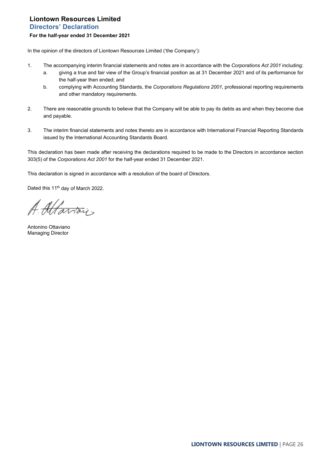# <span id="page-25-0"></span>**Liontown Resources Limited Directors' Declaration For the half-year ended 31 December 2021**

In the opinion of the directors of Liontown Resources Limited ('the Company'):

- 1. The accompanying interim financial statements and notes are in accordance with the *Corporations Act 2001* including:
	- a. giving a true and fair view of the Group's financial position as at 31 December 2021 and of its performance for the half-year then ended; and
	- b. complying with Accounting Standards, the *Corporations Regulations 2001*, professional reporting requirements and other mandatory requirements.
- 2. There are reasonable grounds to believe that the Company will be able to pay its debts as and when they become due and payable.
- 3. The interim financial statements and notes thereto are in accordance with International Financial Reporting Standards issued by the International Accounting Standards Board.

This declaration has been made after receiving the declarations required to be made to the Directors in accordance section 303(5) of the *Corporations Act 2001* for the half-year ended 31 December 2021.

This declaration is signed in accordance with a resolution of the board of Directors.

Dated this 11<sup>th</sup> day of March 2022.

A. Altariais

Antonino Ottaviano Managing Director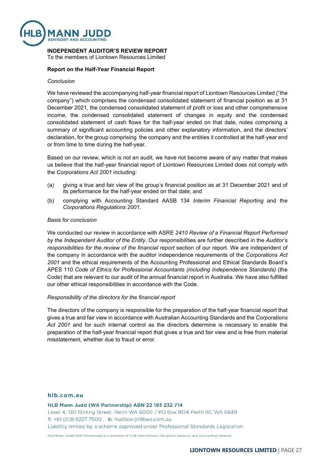

# **INDEPENDENT AUDITOR'S REVIEW REPORT**

To the members of Liontown Resources Limited

# **Report on the Half-Year Financial Report**

## *Conclusion*

We have reviewed the accompanying half-year financial report of Liontown Resources Limited ("the company") which comprises the condensed consolidated statement of financial position as at 31 December 2021, the condensed consolidated statement of profit or loss and other comprehensive income, the condensed consolidated statement of changes in equity and the condensed consolidated statement of cash flows for the half-year ended on that date, notes comprising a summary of significant accounting policies and other explanatory information, and the directors' declaration, for the group comprising the company and the entities it controlled at the half-year end or from time to time during the half-year.

Based on our review, which is not an audit, we have not become aware of any matter that makes us believe that the half-year financial report of Liontown Resources Limited does not comply with the *Corporations Act 2001* including:

- (a) giving a true and fair view of the group's financial position as at 31 December 2021 and of its performance for the half-year ended on that date; and
- (b) complying with Accounting Standard AASB 134 *Interim Financial Reporting* and the *Corporations Regulations 2001*.

#### *Basis for conclusion*

We conducted our review in accordance with ASRE *2410 Review of a Financial Report Performed by the Independent Auditor of the Entity*. Our responsibilities are further described in the *Auditor's responsibilities for the review of the financial report* section of our report. We are independent of the company in accordance with the auditor independence requirements of the *Corporations Act 2001* and the ethical requirements of the Accounting Professional and Ethical Standards Board's APES 110 *Code of Ethics for Professional Accountants (including Independence Standards)* (the Code) that are relevant to our audit of the annual financial report in Australia. We have also fulfilled our other ethical responsibilities in accordance with the Code.

## *Responsibility of the directors for the financial report*

The directors of the company is responsible for the preparation of the half-year financial report that gives a true and fair view in accordance with Australian Accounting Standards and the *Corporations Act 2001* and for such internal control as the directors determine is necessary to enable the preparation of the half-year financial report that gives a true and fair view and is free from material misstatement, whether due to fraud or error.

#### hlb.com.au

HLB Mann Judd (WA Partnership) ABN 22 193 232 714 Level 4, 130 Stirling Street, Perth WA 6000 / PO Box 8124 Perth BC WA 6849 **T:** +61 (0)8 9227 7500 **E:** mailbox@hlbwa.com.au Liability limited by a scheme approved under Professional Standards Legislation.

HLB Mann Judd (WA Partnership) is a member of HLB International, the global advisory and accounting network